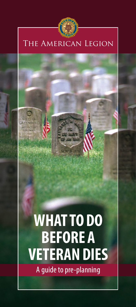

# The American Legion

# **WHAT TO DO BEFORE A VETERAN DIES**

A guide to pre-planning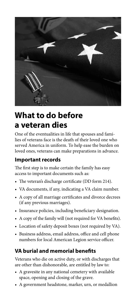

# **What to do before a veteran dies**

One of the eventualities in life that spouses and families of veterans face is the death of their loved one who served America in uniform. To help ease the burden on loved ones, veterans can make preparations in advance.

# **Important records**

The first step is to make certain the family has easy access to important documents such as:

- The veteran's discharge certificate (DD form 214).
- VA documents, if any, indicating a VA claim number.
- A copy of all marriage certificates and divorce decrees (if any previous marriages).
- Insurance policies, including beneficiary designation.
- A copy of the family will (not required for VA benefits).
- Location of safety deposit boxes (not required by VA).
- Business address, email address, office and cell phone numbers for local American Legion service officer.

# **VA burial and memorial benefits**

Veterans who die on active duty, or with discharges that are other than dishonorable, are entitled by law to:

- A gravesite in any national cemetery with available space, opening and closing of the grave.
- A government headstone, marker, urn, or medallion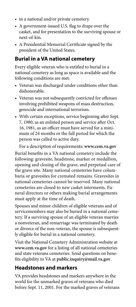- in a national and/or private cemetery.
- A government-issued U.S. flag to drape over the casket, and for presentation to the surviving spouse or next-of-kin.
- A Presidential Memorial Certificate signed by the president of the United States.

# **Burial in a VA national cemetery**

Every eligible veteran who is entitled to burial in a national cemetery as long as space is available and the following conditions are met:

- Veteran was discharged under conditions other than dishonorable.
- Veteran was not subsequently convicted for offenses involving prohibited weapons of mass destruction, genocide and international terrorism.
- With certain exceptions, service beginning after Sept. 7, 1980, as an enlisted person and service after Oct. 16, 1981, as an officer must have served for a minimum of 24 months or the full period for which the person was called to active duty.

For a description of requirements: **www.cem.va.gov**

Burial benefits in a VA national cemetery include the following: gravesite, headstone, marker or medallion, opening and closing of the grave, and perpetual care of the grave site. Many national cemeteries have columbaria or gravesites for cremated remains. Gravesites in national cemeteries cannot be reserved. Many national cemeteries are closed to new casket interments. Funeral directors or others making burial arrangements must apply at the time of death.

Spouses and minor children of eligible veterans and of servicemembers may also be buried in a national cemetery. If a surviving spouse of an eligible veteran marries a nonveteran, and remarriage was terminated by death or divorce of the non-veteran, the spouse is subsequently eligible for burial in a national cemetery.

Visit the National Cemetery Administration website at **www.cem.va.gov** for a listing of all national cemeteries and state veterans cemeteries. Send questions on benefits eligibility to VA at **public.inquiry@mail.va.gov**.

## **Headstones and markers**

VA provides headstones and markers anywhere in the world for the unmarked graves of veterans who died before Sept. 11, 2001. For the marked graves of veterans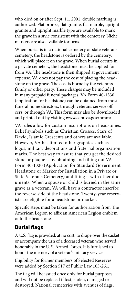who died on or after Sept. 11, 2001, double marking is authorized. Flat bronze, flat granite, flat marble, upright granite and upright marble type are available to mark the grave in a style consistent with the cemetery. Niche markers are also available for urns.

When burial is in a national cemetery or state veterans cemetery, the headstone is ordered by the cemetery, which will place it on the grave. When burial occurs in a private cemetery, the headstone must be applied for from VA. The headstone is then shipped at government expense. VA does not pay the cost of placing the headstone on the grave. The cost is borne by the veteran's family or other party. These charges may be included in many prepaid funeral packages. VA Form 40-1330 (application for headstone) can be obtained from most funeral home directors, through veterans service officers, or through VA. This form may also be downloaded and printed out by visiting **www.cem.va.gov/hmm/**.

VA rules allow for custom inscriptions on headstones. Belief symbols such as Christian Crosses, Stars of David, Islamic Crescents and others are available. However, VA has limited other graphics such as logos, military decorations and fraternal organization marks. The best way to assure that you get the desired stone or plaque is by obtaining and filling out VA Form 40-1330 (Application for Standard Government Headstone or Marker for Installation in a Private or State Veterans Cemetery) and filing it with other documents. When a spouse or child is buried in the same grave as a veteran, VA will have a contractor inscribe the reverse side of the headstone. Twenty-year reservists are eligible for a headstone or marker.

Specific steps must be taken for authorization from The American Legion to affix an American Legion emblem onto the headstone.

# **Burial flags**

A U.S. flag is provided, at no cost, to drape over the casket or accompany the urn of a deceased veteran who served honorably in the U. S. Armed Forces. It is furnished to honor the memory of a veteran's military service.

Eligibility for former members of Selected Reserves were added by Section 517 of Public Law 105-261.

The flag will be issued once only for burial purposes and will not be replaced if lost, stolen, damaged or destroyed. National cemeteries with avenues of flags,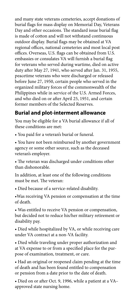and many state veterans cemeteries, accept donations of burial flags for mass display on Memorial Day, Veterans Day and other occasions. The standard issue burial flag is made of cotton and will not withstand continuous outdoor display. Burial flags may be obtained at VA regional offices, national cemeteries and most local post offices. Overseas, U.S. flags can be obtained from U.S. embassies or consulates VA will furnish a burial flag for veterans who served during wartime, died on active duty after May 27, 1941, who served after Jan. 31, 1955, peacetime veterans who were discharged or released before June 27, 1950, certain people who served in the organized military forces of the commonwealth of the Philippines while in service of the U.S. Armed Forces, and who died on or after April 25, 1951, and certain former members of the Selected Reserves.

# **Burial and plot-interment allowance**

You may be eligible for a VA burial allowance if all of these conditions are met:

• You paid for a veteran's burial or funeral.

• You have not been reimbursed by another government agency or some other source, such as the deceased veteran's employer.

• The veteran was discharged under conditions other than dishonorable.

In addition, at least one of the following conditions must be met. The veteran:

• Died because of a service-related disability.

•Was receiving VA pension or compensation at the time of death.

• Was entitled to receive VA pension or compensation, but decided not to reduce his/her military retirement or disability pay.

• Died while hospitalized by VA, or while receiving care under VA contract at a non-VA facility.

• Died while traveling under proper authorization and at VA expense to or from a specified place for the purpose of examination, treatment, or care.

• Had an original or reopened claim pending at the time of death and has been found entitled to compensation or pension from a date prior to the date of death.

• Died on or after Oct. 9, 1996, while a patient at a VA– approved state nursing home.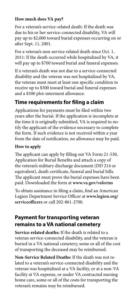#### **How much does VA pay?**

For a veteran's service-related death: If the death was due to his or her service-connected disability, VA will pay up to \$2,000 toward burial expenses occurring on or after Sept. 11, 2001.

For a veteran's non-service related death since Oct. 1, 2011: If the death occurred while hospitalized by VA, it will pay up to \$700 toward burial and funeral expenses.

If a veteran's death was not due to a service-connected disability and the veteran was not hospitalized by VA, the veteran must meet at least one specific condition to receive up to \$300 toward burial and funeral expenses and a \$300 plot-interment allowance.

## **Time requirements for filing a claim**

Applications for payments must be filed within two years after the burial. If the application is incomplete at the time it is originally submitted, VA is required to notify the applicant of the evidence necessary to complete the form. If such evidence is not received within a year from the date of notification, no allowance may be paid.

#### **How to apply**

The applicant can apply by filling out VA Form 21-530, Application for Burial Benefits and attach a copy of the veteran's military discharge document (DD 214 or equivalent), death certificate, funeral and burial bills. The applicant must prove the burial expenses have been paid. Downloaded the form at **www.va.gov/vaforms**

To obtain assistance in filing a claim, find an American Legion Department Service Officer at **www.legion.org/ serviceofficers** or call 202-861-2700.

## **Payment for transporting veteran remains to a VA national cemetery**

**Service-related deaths:** If the death is related to a veteran service-connected disability, and the veteran is buried in a VA national cemetery, some or all of the cost of transporting the deceased may be reimbursed.

**Non-Service Related Deaths:** If the death was not related to a veteran's service-connected disability and the veteran was hospitalized at a VA facility, or at a non-VA facility at VA expense, or under VA contracted nursing home care, some or all of the costs for transporting the veteran's remains may be reimbursed.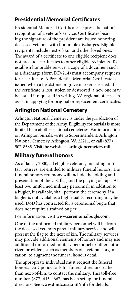# **Presidential Memorial Certificates**

Presidential Memorial Certificates express the nation's recognition of a veteran's service. Certificates bearing the signature of the president are issued honoring deceased veterans with honorable discharges. Eligible recipients include next-of-kin and other loved ones. The award of a certificate to one eligible recipient does not preclude certificates to other eligible recipients. To establish honorable service, a copy of a document such as a discharge (form DD-214) must accompany requests for a certificate. A Presidential Memorial Certificate is issued when a headstone or grave marker is issued. If the certificate is lost, stolen or destroyed, a new one may be issued if requested in writing. VA regional offices can assist in applying for original or replacement certificates.

# **Arlington National Cemetery**

Arlington National Cemetery is under the jurisdiction of the Department of the Army. Eligibility for burials is more limited than at other national cemeteries. For information on Arlington burials, write to Superintendent, Arlington National Cemetery, Arlington, VA 22211, or call (877) 907-8585. Visit the website at **arlingtoncemetery.mil**.

# **Military funeral honors**

As of Jan. 1, 2000, all eligible veterans, including military retirees, are entitled to military funeral honors. The funeral honors ceremony will include the folding and presentation of the U.S. flag and the playing of Taps. At least two uniformed military personnel, in addition to a bugler, if available, shall perform the ceremony. If a bugler is not available, a high-quality recording may be used. DoD has contracted for a ceremonial bugle that does not require a trained bugler.

For information, visit **www.ceremonialbugle.com**.

One of the uniformed military personnel will be from the deceased veteran's parent military service and will present the flag to the next of kin. The military services may provide additional elements of honors and may use additional uniformed military personnel or other authorized providers, such as members of a veterans organization, to augment the funeral honors detail.

The appropriate individual must request the funeral honors. DoD policy calls for funeral directors, rather than next-of-kin, to contact the military. This toll-free number, (877) 645-4667, has been set up for funeral directors. See **www.dmdc.osd.mil/mfh** for details.